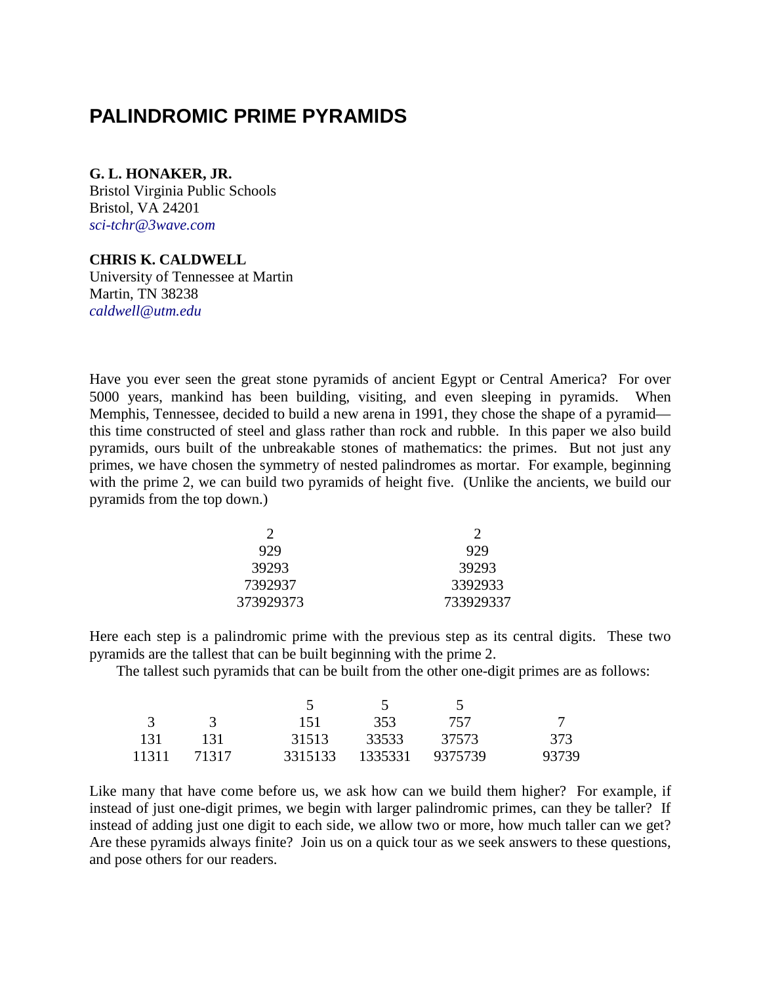# **PALINDROMIC PRIME PYRAMIDS**

#### **G. L. HONAKER, JR.**

Bristol Virginia Public Schools Bristol, VA 24201 *[sci-tchr@3wave.com](mailto:sci-tchr@3wave.com)* 

## **CHRIS K. CALDWELL**

University of Tennessee at Martin Martin, TN 38238 *caldwell@utm.edu*

Have you ever seen the great stone pyramids of ancient Egypt or Central America? For over 5000 years, mankind has been building, visiting, and even sleeping in pyramids. When Memphis, Tennessee, decided to build a new arena in 1991, they chose the shape of a pyramid this time constructed of steel and glass rather than rock and rubble. In this paper we also build pyramids, ours built of the unbreakable stones of mathematics: the primes. But not just any primes, we have chosen the symmetry of nested palindromes as mortar. For example, beginning with the prime 2, we can build two pyramids of height five. (Unlike the ancients, we build our pyramids from the top down.)

| 929       | 929       |
|-----------|-----------|
| 39293     | 39293     |
| 7392937   | 3392933   |
| 373929373 | 733929337 |

Here each step is a palindromic prime with the previous step as its central digits. These two pyramids are the tallest that can be built beginning with the prime 2.

The tallest such pyramids that can be built from the other one-digit primes are as follows:

|               |       |         | $\sim$  | $\sim$  |       |
|---------------|-------|---------|---------|---------|-------|
| $\mathcal{R}$ | -3    | 151     | 353     | 757     |       |
| 131           | 131   | 31513   | 33533   | 37573   | 373   |
| 11311         | 71317 | 3315133 | 1335331 | 9375739 | 93739 |

Like many that have come before us, we ask how can we build them higher? For example, if instead of just one-digit primes, we begin with larger palindromic primes, can they be taller? If instead of adding just one digit to each side, we allow two or more, how much taller can we get? Are these pyramids always finite? Join us on a quick tour as we seek answers to these questions, and pose others for our readers.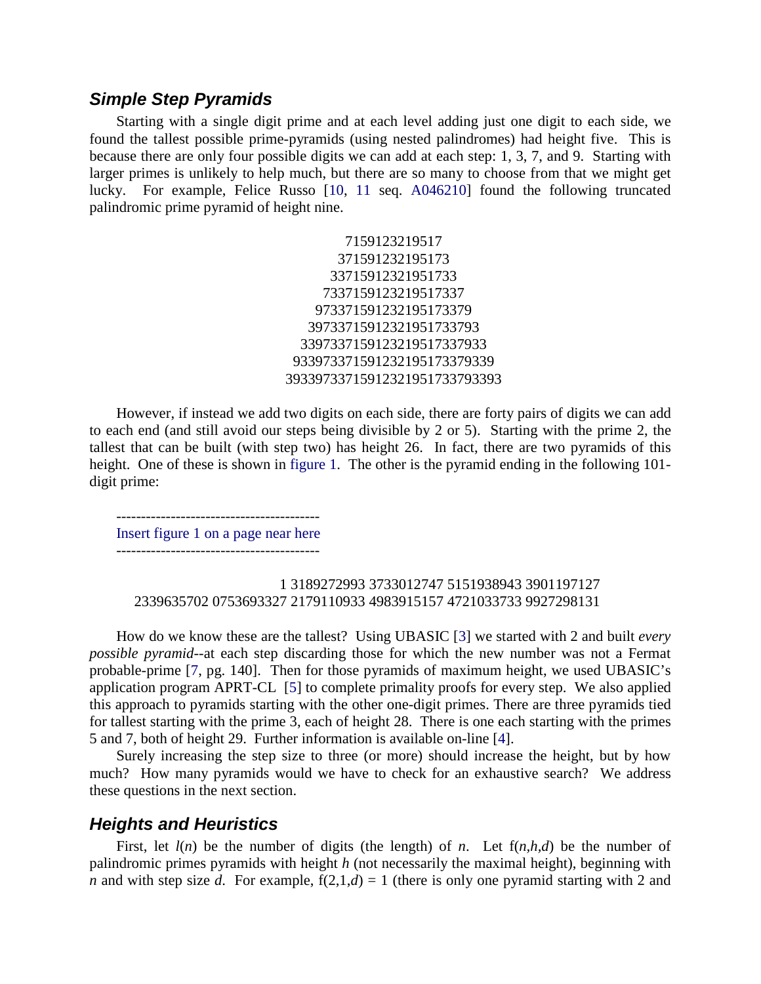## *Simple Step Pyramids*

Starting with a single digit prime and at each level adding just one digit to each side, we found the tallest possible prime-pyramids (using nested palindromes) had height five. This is because there are only four possible digits we can add at each step: 1, 3, 7, and 9. Starting with larger primes is unlikely to help much, but there are so many to choose from that we might get lucky. For example, Felice Russo [\[10,](#page-5-0) [11](#page-5-0) seq. [A046210\]](http://www.research.att.com/cgi-bin/access.cgi/as/njas/sequences/eisA.cgi?Anum=A046210) found the following truncated palindromic prime pyramid of height nine.

> 7159123219517 371591232195173 33715912321951733 7337159123219517337 973371591232195173379 39733715912321951733793 3397337159123219517337933 933973371591232195173379339 39339733715912321951733793393

However, if instead we add two digits on each side, there are forty pairs of digits we can add to each end (and still avoid our steps being divisible by 2 or 5). Starting with the prime 2, the tallest that can be built (with step two) has height 26. In fact, there are two pyramids of this height. One of these is shown in [figure 1.](#page-6-0) The other is the pyramid ending in the following 101digit prime:

----------------------------------------- [Insert figure 1 on a page near here](#page-6-0) -----------------------------------------

 1 3189272993 3733012747 5151938943 3901197127 2339635702 0753693327 2179110933 4983915157 4721033733 9927298131

How do we know these are the tallest? Using UBASIC [[3\]](#page-5-0) we started with 2 and built *every possible pyramid*--at each step discarding those for which the new number was not a Fermat probable-prime [\[7,](#page-5-0) pg. 140]. Then for those pyramids of maximum height, we used UBASIC's application program APRT-CL [\[5\]](#page-5-0) to complete primality proofs for every step. We also applied this approach to pyramids starting with the other one-digit primes. There are three pyramids tied for tallest starting with the prime 3, each of height 28. There is one each starting with the primes 5 and 7, both of height 29. Further information is available on-line [[4\]](#page-5-0).

Surely increasing the step size to three (or more) should increase the height, but by how much? How many pyramids would we have to check for an exhaustive search? We address these questions in the next section.

## *Heights and Heuristics*

First, let  $l(n)$  be the number of digits (the length) of *n*. Let  $f(n, h, d)$  be the number of palindromic primes pyramids with height *h* (not necessarily the maximal height), beginning with *n* and with step size *d*. For example,  $f(2,1,d) = 1$  (there is only one pyramid starting with 2 and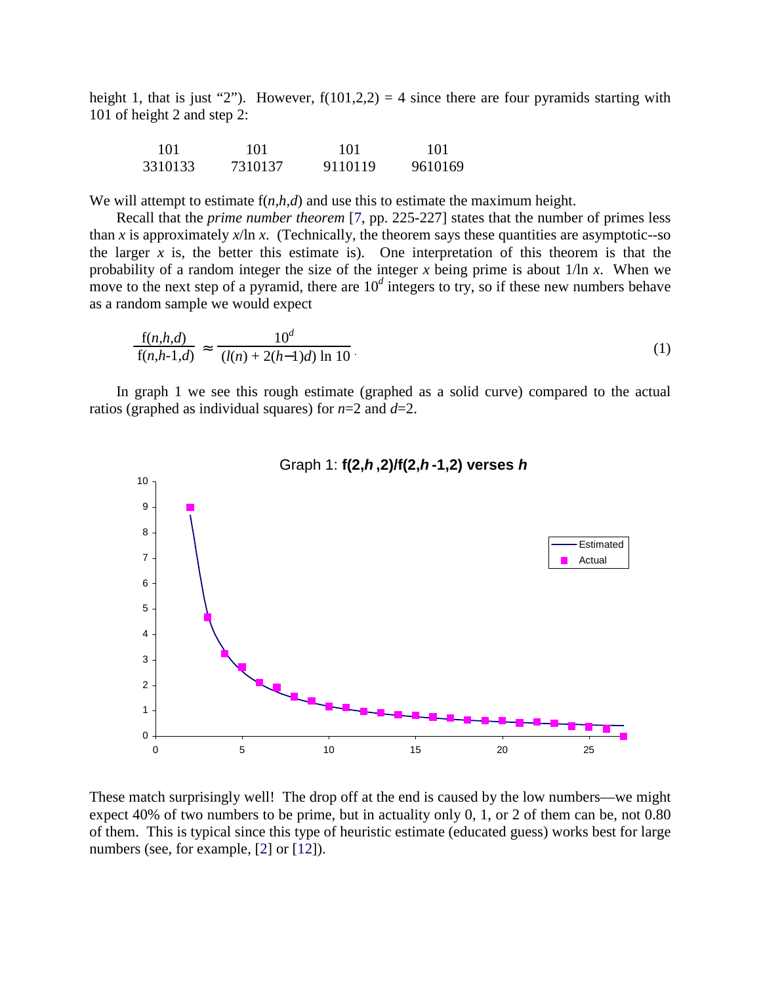height 1, that is just "2"). However,  $f(101,2,2) = 4$  since there are four pyramids starting with 101 of height 2 and step 2:

| 101     | 101     | 101     | 101     |
|---------|---------|---------|---------|
| 3310133 | 7310137 | 9110119 | 9610169 |

We will attempt to estimate  $f(n, h, d)$  and use this to estimate the maximum height.

Recall that the *prime number theorem* [\[7,](#page-5-0) pp. 225-227] states that the number of primes less than  $x$  is approximately  $x/\ln x$ . (Technically, the theorem says these quantities are asymptotic--so the larger  $x$  is, the better this estimate is). One interpretation of this theorem is that the probability of a random integer the size of the integer *x* being prime is about 1/ln *x*. When we move to the next step of a pyramid, there are  $10<sup>d</sup>$  integers to try, so if these new numbers behave as a random sample we would expect

$$
\frac{f(n,h,d)}{f(n,h-1,d)} \approx \frac{10^d}{(l(n)+2(h-1)d)\ln 10}.
$$
\n(1)

In graph 1 we see this rough estimate (graphed as a solid curve) compared to the actual ratios (graphed as individual squares) for *n*=2 and *d*=2.



Graph 1: **f(2,***h* **,2)/f(2,***h* **-1,2) verses** *h*

These match surprisingly well! The drop off at the end is caused by the low numbers—we might expect 40% of two numbers to be prime, but in actuality only 0, 1, or 2 of them can be, not 0.80 of them. This is typical since this type of heuristic estimate (educated guess) works best for large numbers (see, for example, [\[2\]](#page-5-0) or [\[12\]](#page-5-0)).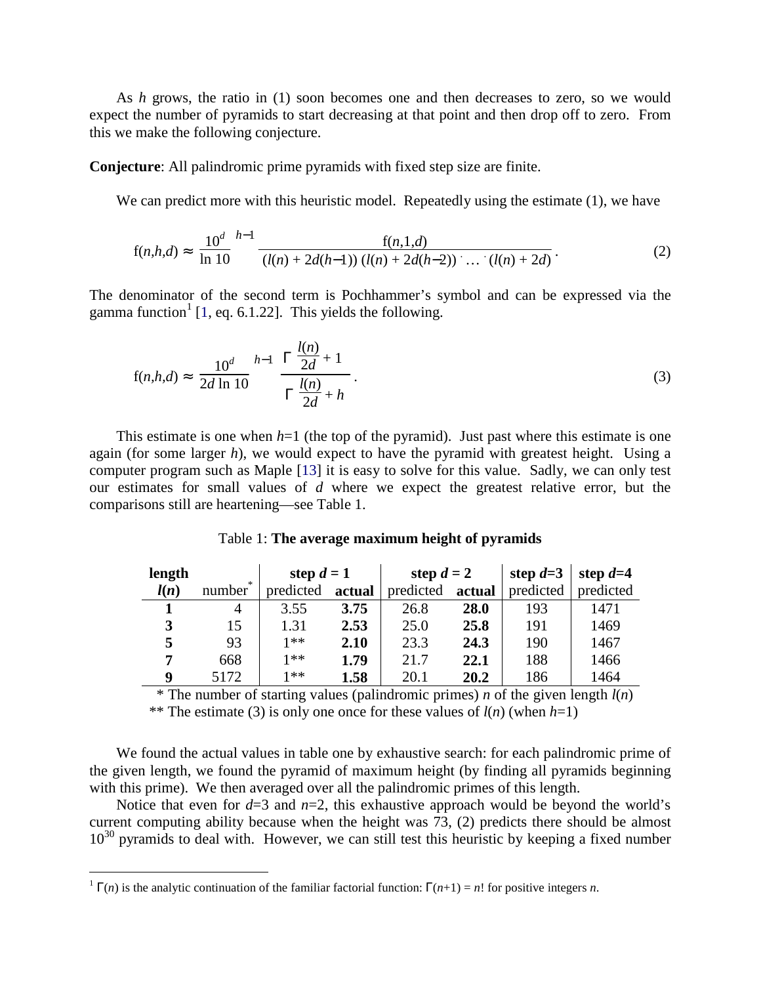As *h* grows, the ratio in (1) soon becomes one and then decreases to zero, so we would expect the number of pyramids to start decreasing at that point and then drop off to zero. From this we make the following conjecture.

**Conjecture**: All palindromic prime pyramids with fixed step size are finite.

We can predict more with this heuristic model. Repeatedly using the estimate (1), we have

$$
f(n,h,d) \approx \left(\frac{10^d}{\ln 10}\right)^{h-1} \frac{f(n,1,d)}{(l(n) + 2d(h-1)) (l(n) + 2d(h-2)) \dots (l(n) + 2d)}.
$$
 (2)

The denominator of the second term is Pochhammer's symbol and can be expressed via the gamma function<sup>1</sup> [\[1,](#page-5-0) eq. 6.1.22]. This yields the following.

$$
f(n,h,d) \approx \left(\frac{10^d}{2d \ln 10}\right)^{h-1} \frac{\Gamma\left(\frac{l(n)}{2d} + 1\right)}{\Gamma\left(\frac{l(n)}{2d} + h\right)}.\tag{3}
$$

This estimate is one when *h*=1 (the top of the pyramid). Just past where this estimate is one again (for some larger *h*), we would expect to have the pyramid with greatest height. Using a computer program such as Maple [\[13\]](#page-5-0) it is easy to solve for this value. Sadly, we can only test our estimates for small values of *d* where we expect the greatest relative error, but the comparisons still are heartening—see Table 1.

| length |        | step $d=1$ |        | step $d=2$ |        | step $d=3$ | step $d=4$ |
|--------|--------|------------|--------|------------|--------|------------|------------|
| l(n)   | number | predicted  | actual | predicted  | actual | predicted  | predicted  |
|        | 4      | 3.55       | 3.75   | 26.8       | 28.0   | 193        | 1471       |
|        | 15     | 1.31       | 2.53   | 25.0       | 25.8   | 191        | 1469       |
|        | 93     | 1**        | 2.10   | 23.3       | 24.3   | 190        | 1467       |
| 7      | 668    | 1**        | 1.79   | 21.7       | 22.1   | 188        | 1466       |
| q      | 5172   | $1**$      | 1.58   | 20.1       | 20.2   | 186        | 1464       |

#### Table 1: **The average maximum height of pyramids**

\* The number of starting values (palindromic primes) *n* of the given length *l*(*n*)

\*\* The estimate (3) is only one once for these values of  $l(n)$  (when  $h=1$ )

We found the actual values in table one by exhaustive search: for each palindromic prime of the given length, we found the pyramid of maximum height (by finding all pyramids beginning with this prime). We then averaged over all the palindromic primes of this length.

Notice that even for  $d=3$  and  $n=2$ , this exhaustive approach would be beyond the world's current computing ability because when the height was 73, (2) predicts there should be almost  $10^{30}$  pyramids to deal with. However, we can still test this heuristic by keeping a fixed number

 $\overline{a}$ 

<sup>&</sup>lt;sup>1</sup>  $\Gamma(n)$  is the analytic continuation of the familiar factorial function:  $\Gamma(n+1) = n!$  for positive integers *n*.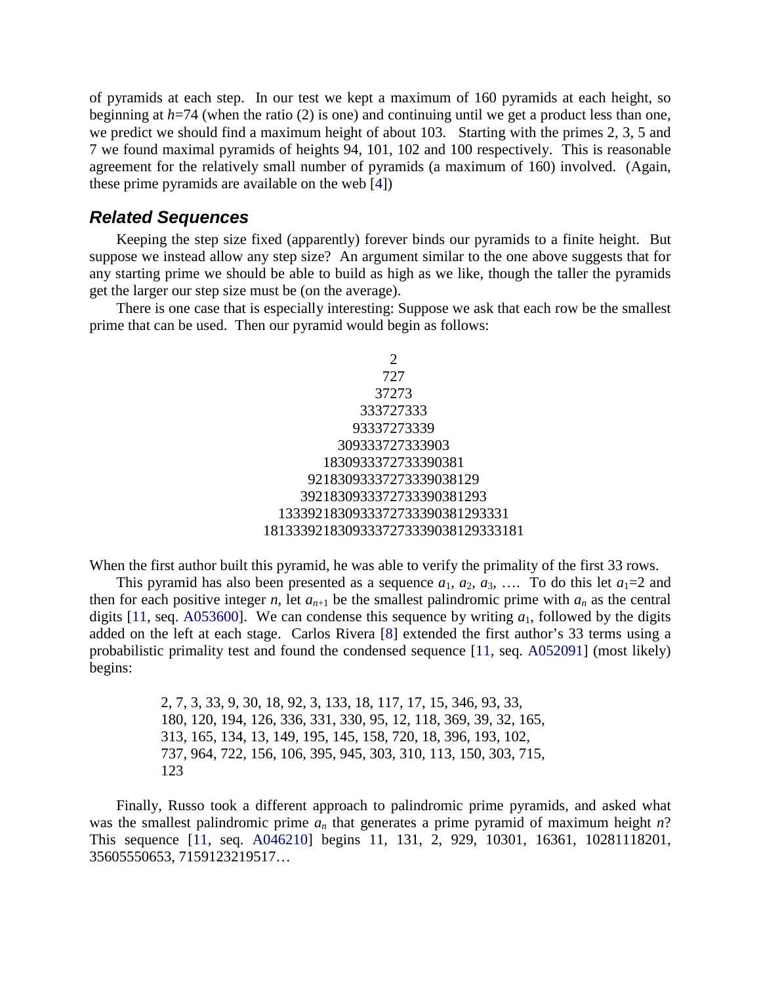of pyramids at each step. In our test we kept a maximum of 160 pyramids at each height, so beginning at *h*=74 (when the ratio (2) is one) and continuing until we get a product less than one, we predict we should find a maximum height of about 103. Starting with the primes 2, 3, 5 and 7 we found maximal pyramids of heights 94, 101, 102 and 100 respectively. This is reasonable agreement for the relatively small number of pyramids (a maximum of 160) involved. (Again, these prime pyramids are available on the web [[4\]](#page-5-0))

### *Related Sequences*

Keeping the step size fixed (apparently) forever binds our pyramids to a finite height. But suppose we instead allow any step size? An argument similar to the one above suggests that for any starting prime we should be able to build as high as we like, though the taller the pyramids get the larger our step size must be (on the average).

There is one case that is especially interesting: Suppose we ask that each row be the smallest prime that can be used. Then our pyramid would begin as follows:

$$
\begin{array}{r} 2 \\ 2 \\ 727 \\ 37273 \\ 333727333 \\ 93337273339 \\ 309333727333903 \\ 1830933372733390381 \\ 92183093337273339038129 \\ 3921830933372733390381293 \\ 1333921830933372733390381293331 \\ 18133392183093337273339038129333181 \end{array}
$$

When the first author built this pyramid, he was able to verify the primality of the first 33 rows.

This pyramid has also been presented as a sequence  $a_1, a_2, a_3, \ldots$  To do this let  $a_1=2$  and then for each positive integer *n*, let  $a_{n+1}$  be the smallest palindromic prime with  $a_n$  as the central digits [\[11,](#page-5-0) seq. [A053600\]](http://www.research.att.com/cgi-bin/access.cgi/as/njas/sequences/eisA.cgi?Anum=A053600). We can condense this sequence by writing  $a_1$ , followed by the digits added on the left at each stage. Carlos Rivera [\[8\]](#page-5-0) extended the first author's 33 terms using a probabilistic primality test and found the condensed sequence [[11,](#page-5-0) seq. [A052091\]](http://www.research.att.com/cgi-bin/access.cgi/as/njas/sequences/eisA.cgi?Anum=A052091) (most likely) begins:

> 2, 7, 3, 33, 9, 30, 18, 92, 3, 133, 18, 117, 17, 15, 346, 93, 33, 180, 120, 194, 126, 336, 331, 330, 95, 12, 118, 369, 39, 32, 165, 313, 165, 134, 13, 149, 195, 145, 158, 720, 18, 396, 193, 102, 737, 964, 722, 156, 106, 395, 945, 303, 310, 113, 150, 303, 715, 123

Finally, Russo took a different approach to palindromic prime pyramids, and asked what was the smallest palindromic prime *an* that generates a prime pyramid of maximum height *n*? This sequence [\[11,](#page-5-0) seq. [A046210\]](http://www.research.att.com/cgi-bin/access.cgi/as/njas/sequences/eisA.cgi?Anum=A046210) begins 11, 131, 2, 929, 10301, 16361, 10281118201, 35605550653, 7159123219517…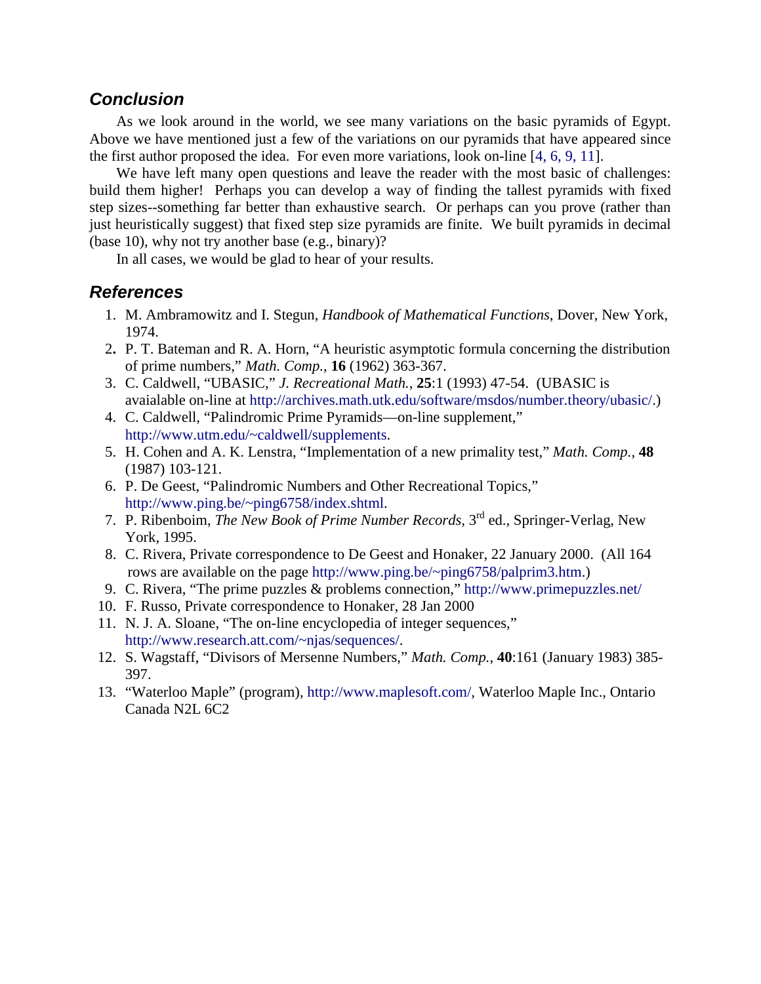## <span id="page-5-0"></span>*Conclusion*

As we look around in the world, we see many variations on the basic pyramids of Egypt. Above we have mentioned just a few of the variations on our pyramids that have appeared since the first author proposed the idea. For even more variations, look on-line [4, 6, 9, 11].

We have left many open questions and leave the reader with the most basic of challenges: build them higher! Perhaps you can develop a way of finding the tallest pyramids with fixed step sizes--something far better than exhaustive search. Or perhaps can you prove (rather than just heuristically suggest) that fixed step size pyramids are finite. We built pyramids in decimal (base 10), why not try another base (e.g., binary)?

In all cases, we would be glad to hear of your results.

## *References*

- 1. M. Ambramowitz and I. Stegun, *Handbook of Mathematical Functions*, Dover, New York, 1974.
- 2**.** P. T. Bateman and R. A. Horn, "A heuristic asymptotic formula concerning the distribution of prime numbers," *Math. Comp.*, **16** (1962) 363-367.
- 3. C. Caldwell, "UBASIC," *J. Recreational Math.*, **25**:1 (1993) 47-54. (UBASIC is avaialable on-line at [http://archives.math.utk.edu/software/msdos/number.theory/ubasic/.](http://archives.math.utk.edu/software/msdos/number.theory/ubasic/))
- 4. C. Caldwell, "Palindromic Prime Pyramids—on-line supplement," [http://www.utm.edu/~caldwell/supplements.](http://www.utm.edu/~caldwell/supplements)
- 5. H. Cohen and A. K. Lenstra, "Implementation of a new primality test," *Math. Comp.*, **48** (1987) 103-121.
- 6. P. De Geest, "Palindromic Numbers and Other Recreational Topics," [http://www.ping.be/~ping6758/index.shtml.](http://www.ping.be/~ping6758/index.shtml)
- 7. P. Ribenboim, *The New Book of Prime Number Records,* 3rd ed., Springer-Verlag, New York, 1995.
- 8. C. Rivera, Private correspondence to De Geest and Honaker, 22 January 2000. (All 164 rows are available on the page [http://www.ping.be/~ping6758/palprim3.htm.](http://www.ping.be/~ping6758/palprim3.htm))
- 9. C. Rivera, "The prime puzzles & problems connection," <http://www.primepuzzles.net/>
- 10. F. Russo, Private correspondence to Honaker, 28 Jan 2000
- 11. N. J. A. Sloane, "The on-line encyclopedia of integer sequences," [http://www.research.att.com/~njas/sequences/.](http://www.research.att.com/~njas/sequences/)
- 12. S. Wagstaff, "Divisors of Mersenne Numbers," *Math. Comp.*, **40**:161 (January 1983) 385- 397.
- 13. "Waterloo Maple" (program), [http://www.maplesoft.com/,](http://www.maplesoft.com/) Waterloo Maple Inc., Ontario Canada N2L 6C2